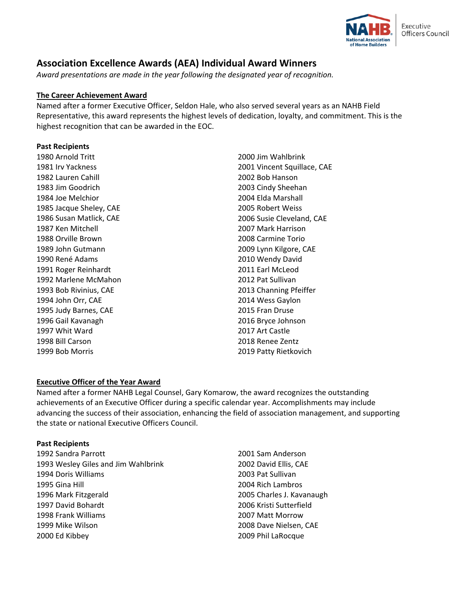

# **Association Excellence Awards (AEA) Individual Award Winners**

*Award presentations are made in the year following the designated year of recognition.* 

# **The Career Achievement Award**

Named after a former Executive Officer, Seldon Hale, who also served several years as an NAHB Field Representative, this award represents the highest levels of dedication, loyalty, and commitment. This is the highest recognition that can be awarded in the EOC.

# **Past Recipients**

1980 Arnold Tritt 1981 Irv Yackness 1982 Lauren Cahill 1983 Jim Goodrich 1984 Joe Melchior 1985 Jacque Sheley, CAE 1986 Susan Matlick, CAE 1987 Ken Mitchell 1988 Orville Brown 1989 John Gutmann 1990 René Adams 1991 Roger Reinhardt 1992 Marlene McMahon 1993 Bob Rivinius, CAE 1994 John Orr, CAE 1995 Judy Barnes, CAE 1996 Gail Kavanagh 1997 Whit Ward 1998 Bill Carson 1999 Bob Morris

2000 Jim Wahlbrink 2001 Vincent Squillace, CAE 2002 Bob Hanson 2003 Cindy Sheehan 2004 Elda Marshall 2005 Robert Weiss 2006 Susie Cleveland, CAE 2007 Mark Harrison 2008 Carmine Torio 2009 Lynn Kilgore, CAE 2010 Wendy David 2011 Earl McLeod 2012 Pat Sullivan 2013 Channing Pfeiffer 2014 Wess Gaylon 2015 Fran Druse 2016 Bryce Johnson 2017 Art Castle 2018 Renee Zentz 2019 Patty Rietkovich

# **Executive Officer of the Year Award**

Named after a former NAHB Legal Counsel, Gary Komarow, the award recognizes the outstanding achievements of an Executive Officer during a specific calendar year. Accomplishments may include advancing the success of their association, enhancing the field of association management, and supporting the state or national Executive Officers Council.

## **Past Recipients**

1992 Sandra Parrott 1993 Wesley Giles and Jim Wahlbrink 1994 Doris Williams 1995 Gina Hill 1996 Mark Fitzgerald 1997 David Bohardt 1998 Frank Williams 1999 Mike Wilson 2000 Ed Kibbey

2001 Sam Anderson 2002 David Ellis, CAE 2003 Pat Sullivan 2004 Rich Lambros 2005 Charles J. Kavanaugh 2006 Kristi Sutterfield 2007 Matt Morrow 2008 Dave Nielsen, CAE 2009 Phil LaRocque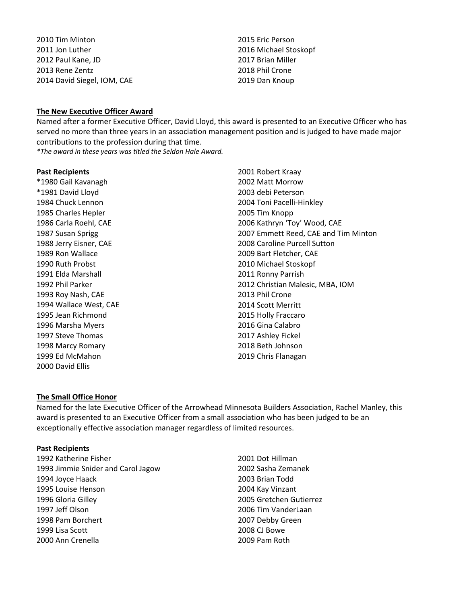2010 Tim Minton 2011 Jon Luther 2012 Paul Kane, JD 2013 Rene Zentz 2014 David Siegel, IOM, CAE

2015 Eric Person 2016 Michael Stoskopf 2017 Brian Miller 2018 Phil Crone 2019 Dan Knoup

## **The New Executive Officer Award**

Named after a former Executive Officer, David Lloyd, this award is presented to an Executive Officer who has served no more than three years in an association management position and is judged to have made major contributions to the profession during that time.

*\*The award in these years was titled the Seldon Hale Award.*

## **Past Recipients**

\*1980 Gail Kavanagh \*1981 David Lloyd 1984 Chuck Lennon 1985 Charles Hepler 1986 Carla Roehl, CAE 1987 Susan Sprigg 1988 Jerry Eisner, CAE 1989 Ron Wallace 1990 Ruth Probst 1991 Elda Marshall 1992 Phil Parker 1993 Roy Nash, CAE 1994 Wallace West, CAE 1995 Jean Richmond 1996 Marsha Myers 1997 Steve Thomas 1998 Marcy Romary 1999 Ed McMahon 2000 David Ellis

2001 Robert Kraay 2002 Matt Morrow 2003 debi Peterson 2004 Toni Pacelli-Hinkley 2005 Tim Knopp 2006 Kathryn 'Toy' Wood, CAE 2007 Emmett Reed, CAE and Tim Minton 2008 Caroline Purcell Sutton 2009 Bart Fletcher, CAE 2010 Michael Stoskopf 2011 Ronny Parrish 2012 Christian Malesic, MBA, IOM 2013 Phil Crone 2014 Scott Merritt 2015 Holly Fraccaro 2016 Gina Calabro 2017 Ashley Fickel 2018 Beth Johnson 2019 Chris Flanagan

## **The Small Office Honor**

Named for the late Executive Officer of the Arrowhead Minnesota Builders Association, Rachel Manley, this award is presented to an Executive Officer from a small association who has been judged to be an exceptionally effective association manager regardless of limited resources.

## **Past Recipients**

1992 Katherine Fisher 1993 Jimmie Snider and Carol Jagow 1994 Joyce Haack 1995 Louise Henson 1996 Gloria Gilley 1997 Jeff Olson 1998 Pam Borchert 1999 Lisa Scott 2000 Ann Crenella

2001 Dot Hillman 2002 Sasha Zemanek 2003 Brian Todd 2004 Kay Vinzant 2005 Gretchen Gutierrez 2006 Tim VanderLaan 2007 Debby Green 2008 CJ Bowe 2009 Pam Roth